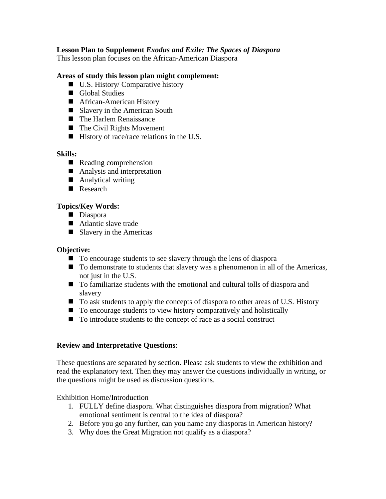## **Lesson Plan to Supplement** *Exodus and Exile: The Spaces of Diaspora*

This lesson plan focuses on the African-American Diaspora

#### **Areas of study this lesson plan might complement:**

- U.S. History/ Comparative history
- Global Studies
- African-American History
- Slavery in the American South
- The Harlem Renaissance
- $\blacksquare$  The Civil Rights Movement
- $\blacksquare$  History of race/race relations in the U.S.

#### **Skills:**

- Reading comprehension
- Analysis and interpretation
- Analytical writing
- Research

### **Topics/Key Words:**

- Diaspora
- Atlantic slave trade
- $\blacksquare$  Slavery in the Americas

#### **Objective:**

- To encourage students to see slavery through the lens of diaspora
- To demonstrate to students that slavery was a phenomenon in all of the Americas, not just in the U.S.
- To familiarize students with the emotional and cultural tolls of diaspora and slavery
- To ask students to apply the concepts of diaspora to other areas of U.S. History
- To encourage students to view history comparatively and holistically
- To introduce students to the concept of race as a social construct

#### **Review and Interpretative Questions**:

These questions are separated by section. Please ask students to view the exhibition and read the explanatory text. Then they may answer the questions individually in writing, or the questions might be used as discussion questions.

Exhibition Home/Introduction

- 1. FULLY define diaspora. What distinguishes diaspora from migration? What emotional sentiment is central to the idea of diaspora?
- 2. Before you go any further, can you name any diasporas in American history?
- 3. Why does the Great Migration not qualify as a diaspora?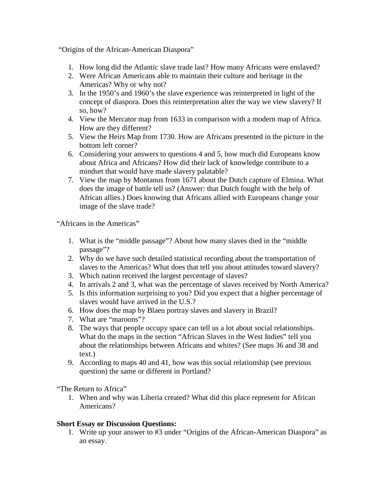"Origins of the African-American Diaspora"

- 1. How long did the Atlantic slave trade last? How many Africans were enslaved?
- 2. Were African Americans able to maintain their culture and heritage in the Americas? Why or why not?
- 3. In the 1950's and 1960's the slave experience was reinterpreted in light of the concept of diaspora. Does this reinterpretation alter the way we view slavery? If so, how?
- 4. View the Mercator map from 1633 in comparison with a modern map of Africa. How are they different?
- 5. View the Heirs Map from 1730. How are Africans presented in the picture in the bottom left corner?
- 6. Considering your answers to questions 4 and 5, how much did Europeans know about Africa and Africans? How did their lack of knowledge contribute to a mindset that would have made slavery palatable?
- 7. View the map by Montanus from 1671 about the Dutch capture of Elmina. What does the image of battle tell us? (Answer: that Dutch fought with the help of African allies.) Does knowing that Africans allied with Europeans change your image of the slave trade?

"Africans in the Americas"

- 1. What is the "middle passage"? About how many slaves died in the "middle passage"?
- 2. Why do we have such detailed statistical recording about the transportation of slaves to the Americas? What does that tell you about attitudes toward slavery?
- 3. Which nation received the largest percentage of slaves?
- 4. In arrivals 2 and 3, what was the percentage of slaves received by North America?
- 5. Is this information surprising to you? Did you expect that a higher percentage of slaves would have arrived in the U.S.?
- 6. How does the map by Blaeu portray slaves and slavery in Brazil?
- 7. What are "maroons"?
- 8. The ways that people occupy space can tell us a lot about social relationships. What do the maps in the section "African Slaves in the West Indies" tell you about the relationships between Africans and whites? (See maps 36 and 38 and text.)
- 9. According to maps 40 and 41, how was this social relationship (see previous question) the same or different in Portland?

"The Return to Africa"

1. When and why was Liberia created? What did this place represent for African Americans?

## **Short Essay or Discussion Questions:**

1. Write up your answer to #3 under "Origins of the African-American Diaspora" as an essay.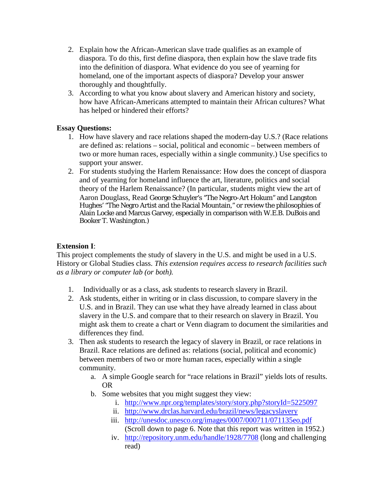- 2. Explain how the African-American slave trade qualifies as an example of diaspora. To do this, first define diaspora, then explain how the slave trade fits into the definition of diaspora. What evidence do you see of yearning for homeland, one of the important aspects of diaspora? Develop your answer thoroughly and thoughtfully.
- 3. According to what you know about slavery and American history and society, how have African-Americans attempted to maintain their African cultures? What has helped or hindered their efforts?

## **Essay Questions:**

- 1. How have slavery and race relations shaped the modern-day U.S.? (Race relations are defined as: relations – social, political and economic – between members of two or more human races, especially within a single community.) Use specifics to support your answer.
- 2. For students studying the Harlem Renaissance: How does the concept of diaspora and of yearning for homeland influence the art, literature, politics and social theory of the Harlem Renaissance? (In particular, students might view the art of Aaron Douglass, Read George Schuyler's "The Negro-Art Hokum" and Langston Hughes' "The Negro Artist and the Racial Mountain," or review the philosophies of Alain Locke and Marcus Garvey, especially in comparison with W.E.B. DuBois and Booker T. Washington.)

## **Extension I**:

This project complements the study of slavery in the U.S. and might be used in a U.S. History or Global Studies class. *This extension requires access to research facilities such as a library or computer lab (or both).* 

- 1. Individually or as a class, ask students to research slavery in Brazil.
- 2. Ask students, either in writing or in class discussion, to compare slavery in the U.S. and in Brazil. They can use what they have already learned in class about slavery in the U.S. and compare that to their research on slavery in Brazil. You might ask them to create a chart or Venn diagram to document the similarities and differences they find.
- 3. Then ask students to research the legacy of slavery in Brazil, or race relations in Brazil. Race relations are defined as: relations (social, political and economic) between members of two or more human races, especially within a single community.
	- a. A simple Google search for "race relations in Brazil" yields lots of results. OR
	- b. Some websites that you might suggest they view:
		- i. <http://www.npr.org/templates/story/story.php?storyId=5225097>
		- ii. <http://www.drclas.harvard.edu/brazil/news/legacyslavery>
		- iii. <http://unesdoc.unesco.org/images/0007/000711/071135eo.pdf> (Scroll down to page 6. Note that this report was written in 1952.)
		- iv. <http://repository.unm.edu/handle/1928/7708> (long and challenging read)